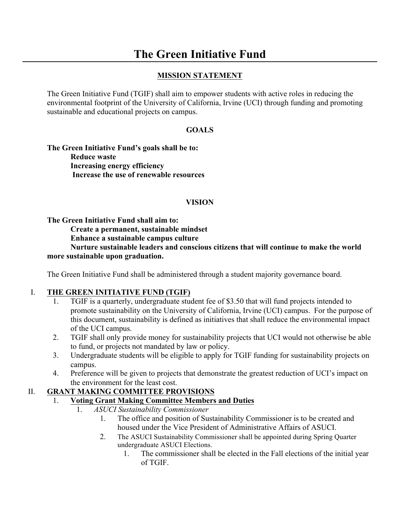# **The Green Initiative Fund**

#### **MISSION STATEMENT**

The Green Initiative Fund (TGIF) shall aim to empower students with active roles in reducing the environmental footprint of the University of California, Irvine (UCI) through funding and promoting sustainable and educational projects on campus.

#### **GOALS**

**The Green Initiative Fund's goals shall be to: Reduce waste Increasing energy efficiency Increase the use of renewable resources** 

#### **VISION**

**The Green Initiative Fund shall aim to:**

**Create a permanent, sustainable mindset**

**Enhance a sustainable campus culture**

#### **Nurture sustainable leaders and conscious citizens that will continue to make the world more sustainable upon graduation.**

The Green Initiative Fund shall be administered through a student majority governance board.

#### I. **THE GREEN INITIATIVE FUND (TGIF)**

- 1. TGIF is a quarterly, undergraduate student fee of \$3.50 that will fund projects intended to promote sustainability on the University of California, Irvine (UCI) campus. For the purpose of this document, sustainability is defined as initiatives that shall reduce the environmental impact of the UCI campus.
- 2. TGIF shall only provide money for sustainability projects that UCI would not otherwise be able to fund, or projects not mandated by law or policy.
- 3. Undergraduate students will be eligible to apply for TGIF funding for sustainability projects on campus.
- 4. Preference will be given to projects that demonstrate the greatest reduction of UCI's impact on the environment for the least cost.

#### II. **GRANT MAKING COMMITTEE PROVISIONS**

- 1. **Voting Grant Making Committee Members and Duties**
	- 1. *ASUCI Sustainability Commissioner*
		- 1. The office and position of Sustainability Commissioner is to be created and housed under the Vice President of Administrative Affairs of ASUCI.
		- 2. The ASUCI Sustainability Commissioner shall be appointed during Spring Quarter undergraduate ASUCI Elections.
			- 1. The commissioner shall be elected in the Fall elections of the initial year of TGIF.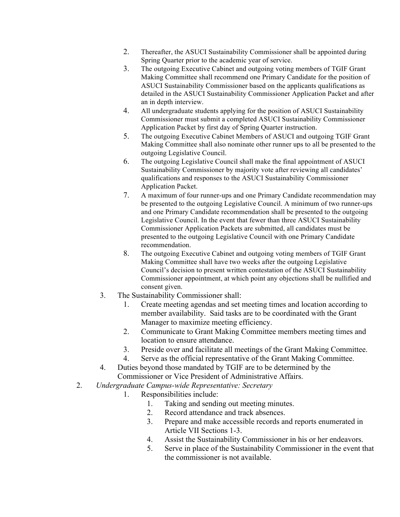- 2. Thereafter, the ASUCI Sustainability Commissioner shall be appointed during Spring Quarter prior to the academic year of service.
- 3. The outgoing Executive Cabinet and outgoing voting members of TGIF Grant Making Committee shall recommend one Primary Candidate for the position of ASUCI Sustainability Commissioner based on the applicants qualifications as detailed in the ASUCI Sustainability Commissioner Application Packet and after an in depth interview.
- 4. All undergraduate students applying for the position of ASUCI Sustainability Commissioner must submit a completed ASUCI Sustainability Commissioner Application Packet by first day of Spring Quarter instruction.
- 5. The outgoing Executive Cabinet Members of ASUCI and outgoing TGIF Grant Making Committee shall also nominate other runner ups to all be presented to the outgoing Legislative Council.
- 6. The outgoing Legislative Council shall make the final appointment of ASUCI Sustainability Commissioner by majority vote after reviewing all candidates' qualifications and responses to the ASUCI Sustainability Commissioner Application Packet.
- 7. A maximum of four runner-ups and one Primary Candidate recommendation may be presented to the outgoing Legislative Council. A minimum of two runner-ups and one Primary Candidate recommendation shall be presented to the outgoing Legislative Council. In the event that fewer than three ASUCI Sustainability Commissioner Application Packets are submitted, all candidates must be presented to the outgoing Legislative Council with one Primary Candidate recommendation.
- 8. The outgoing Executive Cabinet and outgoing voting members of TGIF Grant Making Committee shall have two weeks after the outgoing Legislative Council's decision to present written contestation of the ASUCI Sustainability Commissioner appointment, at which point any objections shall be nullified and consent given.
- 3. The Sustainability Commissioner shall:
	- 1. Create meeting agendas and set meeting times and location according to member availability. Said tasks are to be coordinated with the Grant Manager to maximize meeting efficiency.
	- 2. Communicate to Grant Making Committee members meeting times and location to ensure attendance.
	- 3. Preside over and facilitate all meetings of the Grant Making Committee.
	- 4. Serve as the official representative of the Grant Making Committee.
- 4. Duties beyond those mandated by TGIF are to be determined by the
- Commissioner or Vice President of Administrative Affairs.
- 2. *Undergraduate Campus-wide Representative: Secretary*
	- 1. Responsibilities include:
		- 1. Taking and sending out meeting minutes.
		- 2. Record attendance and track absences.
		- 3. Prepare and make accessible records and reports enumerated in Article VII Sections 1-3.
		- 4. Assist the Sustainability Commissioner in his or her endeavors.
		- 5. Serve in place of the Sustainability Commissioner in the event that the commissioner is not available.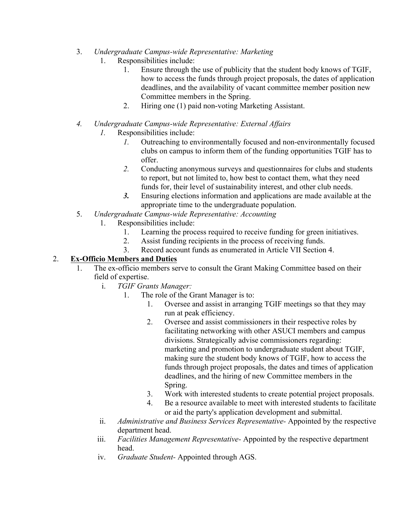- 3. *Undergraduate Campus-wide Representative: Marketing*
	- 1. Responsibilities include:
		- 1. Ensure through the use of publicity that the student body knows of TGIF, how to access the funds through project proposals, the dates of application deadlines, and the availability of vacant committee member position new Committee members in the Spring.
		- 2. Hiring one (1) paid non-voting Marketing Assistant.
- *4. Undergraduate Campus-wide Representative: External Affairs*
	- *1.* Responsibilities include:
		- *1.* Outreaching to environmentally focused and non-environmentally focused clubs on campus to inform them of the funding opportunities TGIF has to offer.
		- *2.* Conducting anonymous surveys and questionnaires for clubs and students to report, but not limited to, how best to contact them, what they need funds for, their level of sustainability interest, and other club needs.
		- *3.* Ensuring elections information and applications are made available at the appropriate time to the undergraduate population.
- 5. *Undergraduate Campus-wide Representative: Accounting*
	- 1. Responsibilities include:
		- 1. Learning the process required to receive funding for green initiatives.
		- 2. Assist funding recipients in the process of receiving funds.
		- 3. Record account funds as enumerated in Article VII Section 4.

#### 2. **Ex-Officio Members and Duties**

- 1. The ex-officio members serve to consult the Grant Making Committee based on their field of expertise.
	- i. *TGIF Grants Manager:*
		- 1. The role of the Grant Manager is to:
			- 1. Oversee and assist in arranging TGIF meetings so that they may run at peak efficiency.
			- 2. Oversee and assist commissioners in their respective roles by facilitating networking with other ASUCI members and campus divisions. Strategically advise commissioners regarding: marketing and promotion to undergraduate student about TGIF, making sure the student body knows of TGIF, how to access the funds through project proposals, the dates and times of application deadlines, and the hiring of new Committee members in the Spring.
			- 3. Work with interested students to create potential project proposals.
			- 4. Be a resource available to meet with interested students to facilitate or aid the party's application development and submittal.
	- ii. *Administrative and Business Services Representative-* Appointed by the respective department head.
	- iii. *Facilities Management Representative-* Appointed by the respective department head.
	- iv. *Graduate Student-* Appointed through AGS.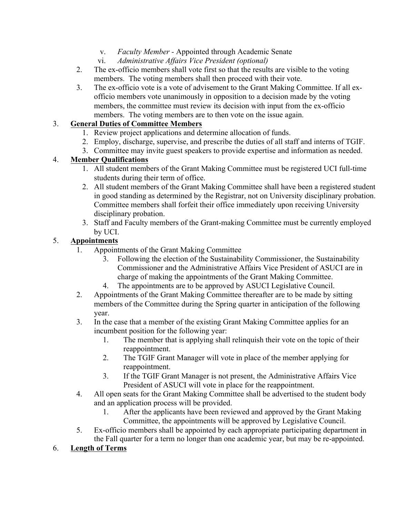- v. *Faculty Member -* Appointed through Academic Senate
- vi. *Administrative Affairs Vice President (optional)*
- 2. The ex-officio members shall vote first so that the results are visible to the voting members. The voting members shall then proceed with their vote.
- 3. The ex-officio vote is a vote of advisement to the Grant Making Committee. If all exofficio members vote unanimously in opposition to a decision made by the voting members, the committee must review its decision with input from the ex-officio members. The voting members are to then vote on the issue again.

#### 3. **General Duties of Committee Members**

- 1. Review project applications and determine allocation of funds.
- 2. Employ, discharge, supervise, and prescribe the duties of all staff and interns of TGIF.
- 3. Committee may invite guest speakers to provide expertise and information as needed.

#### 4. **Member Qualifications**

- 1. All student members of the Grant Making Committee must be registered UCI full-time students during their term of office.
- 2. All student members of the Grant Making Committee shall have been a registered student in good standing as determined by the Registrar, not on University disciplinary probation. Committee members shall forfeit their office immediately upon receiving University disciplinary probation.
- 3. Staff and Faculty members of the Grant-making Committee must be currently employed by UCI.

#### 5. **Appointments**

- 1. Appointments of the Grant Making Committee
	- 3. Following the election of the Sustainability Commissioner, the Sustainability Commissioner and the Administrative Affairs Vice President of ASUCI are in charge of making the appointments of the Grant Making Committee.
	- 4. The appointments are to be approved by ASUCI Legislative Council.
- 2. Appointments of the Grant Making Committee thereafter are to be made by sitting members of the Committee during the Spring quarter in anticipation of the following year.
- 3. In the case that a member of the existing Grant Making Committee applies for an incumbent position for the following year:
	- 1. The member that is applying shall relinquish their vote on the topic of their reappointment.
	- 2. The TGIF Grant Manager will vote in place of the member applying for reappointment.
	- 3. If the TGIF Grant Manager is not present, the Administrative Affairs Vice President of ASUCI will vote in place for the reappointment.
- 4. All open seats for the Grant Making Committee shall be advertised to the student body and an application process will be provided.
	- 1. After the applicants have been reviewed and approved by the Grant Making Committee, the appointments will be approved by Legislative Council.
- 5. Ex-officio members shall be appointed by each appropriate participating department in the Fall quarter for a term no longer than one academic year, but may be re-appointed.

#### 6. **Length of Terms**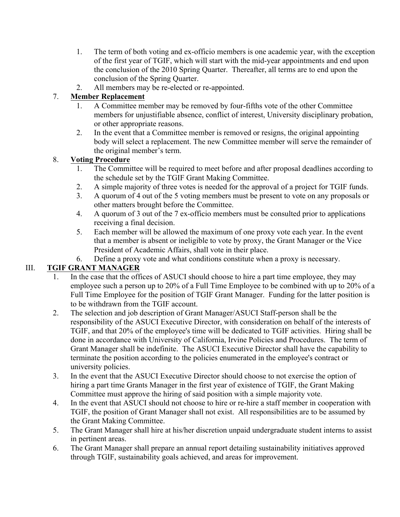- 1. The term of both voting and ex-officio members is one academic year, with the exception of the first year of TGIF, which will start with the mid-year appointments and end upon the conclusion of the 2010 Spring Quarter. Thereafter, all terms are to end upon the conclusion of the Spring Quarter.
- 2. All members may be re-elected or re-appointed.

#### 7. **Member Replacement**

- 1. A Committee member may be removed by four-fifths vote of the other Committee members for unjustifiable absence, conflict of interest, University disciplinary probation, or other appropriate reasons.
- 2. In the event that a Committee member is removed or resigns, the original appointing body will select a replacement. The new Committee member will serve the remainder of the original member's term.

#### 8. **Voting Procedure**

- 1. The Committee will be required to meet before and after proposal deadlines according to the schedule set by the TGIF Grant Making Committee.
- 2. A simple majority of three votes is needed for the approval of a project for TGIF funds.
- 3. A quorum of 4 out of the 5 voting members must be present to vote on any proposals or other matters brought before the Committee.
- 4. A quorum of 3 out of the 7 ex-officio members must be consulted prior to applications receiving a final decision.
- 5. Each member will be allowed the maximum of one proxy vote each year. In the event that a member is absent or ineligible to vote by proxy, the Grant Manager or the Vice President of Academic Affairs, shall vote in their place.
- 6. Define a proxy vote and what conditions constitute when a proxy is necessary.

## III. **TGIF GRANT MANAGER**

- 1. In the case that the offices of ASUCI should choose to hire a part time employee, they may employee such a person up to 20% of a Full Time Employee to be combined with up to 20% of a Full Time Employee for the position of TGIF Grant Manager. Funding for the latter position is to be withdrawn from the TGIF account.
- 2. The selection and job description of Grant Manager/ASUCI Staff-person shall be the responsibility of the ASUCI Executive Director, with consideration on behalf of the interests of TGIF, and that 20% of the employee's time will be dedicated to TGIF activities. Hiring shall be done in accordance with University of California, Irvine Policies and Procedures. The term of Grant Manager shall be indefinite. The ASUCI Executive Director shall have the capability to terminate the position according to the policies enumerated in the employee's contract or university policies.
- 3. In the event that the ASUCI Executive Director should choose to not exercise the option of hiring a part time Grants Manager in the first year of existence of TGIF, the Grant Making Committee must approve the hiring of said position with a simple majority vote.
- 4. In the event that ASUCI should not choose to hire or re-hire a staff member in cooperation with TGIF, the position of Grant Manager shall not exist. All responsibilities are to be assumed by the Grant Making Committee.
- 5. The Grant Manager shall hire at his/her discretion unpaid undergraduate student interns to assist in pertinent areas.
- 6. The Grant Manager shall prepare an annual report detailing sustainability initiatives approved through TGIF, sustainability goals achieved, and areas for improvement.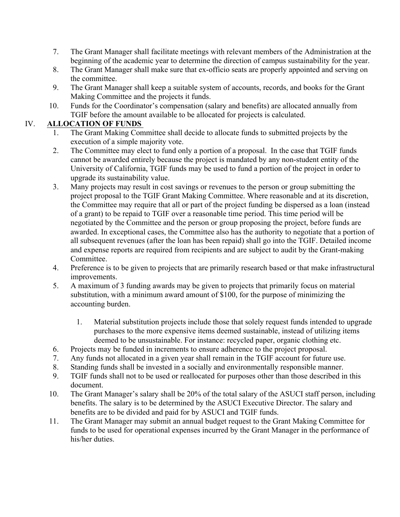- 7. The Grant Manager shall facilitate meetings with relevant members of the Administration at the beginning of the academic year to determine the direction of campus sustainability for the year.
- 8. The Grant Manager shall make sure that ex-officio seats are properly appointed and serving on the committee.
- 9. The Grant Manager shall keep a suitable system of accounts, records, and books for the Grant Making Committee and the projects it funds.
- 10. Funds for the Coordinator's compensation (salary and benefits) are allocated annually from TGIF before the amount available to be allocated for projects is calculated.

#### IV. **ALLOCATION OF FUNDS**

- 1. The Grant Making Committee shall decide to allocate funds to submitted projects by the execution of a simple majority vote.
- 2. The Committee may elect to fund only a portion of a proposal. In the case that TGIF funds cannot be awarded entirely because the project is mandated by any non-student entity of the University of California, TGIF funds may be used to fund a portion of the project in order to upgrade its sustainability value.
- 3. Many projects may result in cost savings or revenues to the person or group submitting the project proposal to the TGIF Grant Making Committee. Where reasonable and at its discretion, the Committee may require that all or part of the project funding be dispersed as a loan (instead of a grant) to be repaid to TGIF over a reasonable time period. This time period will be negotiated by the Committee and the person or group proposing the project, before funds are awarded. In exceptional cases, the Committee also has the authority to negotiate that a portion of all subsequent revenues (after the loan has been repaid) shall go into the TGIF. Detailed income and expense reports are required from recipients and are subject to audit by the Grant-making Committee.
- 4. Preference is to be given to projects that are primarily research based or that make infrastructural improvements.
- 5. A maximum of 3 funding awards may be given to projects that primarily focus on material substitution, with a minimum award amount of \$100, for the purpose of minimizing the accounting burden.
	- 1. Material substitution projects include those that solely request funds intended to upgrade purchases to the more expensive items deemed sustainable, instead of utilizing items deemed to be unsustainable. For instance: recycled paper, organic clothing etc.
- 6. Projects may be funded in increments to ensure adherence to the project proposal.
- 7. Any funds not allocated in a given year shall remain in the TGIF account for future use.
- 8. Standing funds shall be invested in a socially and environmentally responsible manner.
- 9. TGIF funds shall not to be used or reallocated for purposes other than those described in this document.
- 10. The Grant Manager's salary shall be 20% of the total salary of the ASUCI staff person, including benefits. The salary is to be determined by the ASUCI Executive Director. The salary and benefits are to be divided and paid for by ASUCI and TGIF funds.
- 11. The Grant Manager may submit an annual budget request to the Grant Making Committee for funds to be used for operational expenses incurred by the Grant Manager in the performance of his/her duties.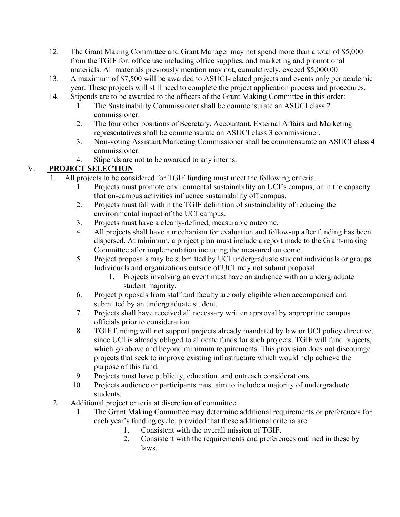- 12. The Grant Making Committee and Grant Manager may not spend more than a total of \$5,000 from the TGIF for: office use including office supplies, and marketing and promotional materials. All materials previously mention may not, cumulatively, exceed \$5,000.00
- 13. A maximum of \$7,500 will be awarded to ASUCI-related projects and events only per academic year. These projects will still need to complete the project application process and procedures.
- 14. Stipends are to be awarded to the officers of the Grant Making Committee in this order:
	- 1. The Sustainability Commissioner shall be commensurate an ASUCI class 2 commissioner.
	- 2. The four other positions of Secretary, Accountant, External Affairs and Marketing representatives shall be commensurate an ASUCI class 3 commissioner.
	- 3. Non-voting Assistant Marketing Commissioner shall be commensurate an ASUCI class 4 commissioner.
	- 4. Stipends are not to be awarded to any interns.

# V. **PROJECT SELECTION**

- 1. All projects to be considered for TGIF funding must meet the following criteria.
	- 1. Projects must promote environmental sustainability on UCI's campus, or in the capacity that on-campus activities influence sustainability off campus.
	- 2. Projects must fall within the TGIF definition of sustainability of reducing the environmental impact of the UCI campus.
	- 3. Projects must have a clearly-defined, measurable outcome.
	- 4. All projects shall have a mechanism for evaluation and follow-up after funding has been dispersed. At minimum, a project plan must include a report made to the Grant-making Committee after implementation including the measured outcome.
	- 5. Project proposals may be submitted by UCI undergraduate student individuals or groups. Individuals and organizations outside of UCI may not submit proposal.
		- 1. Projects involving an event must have an audience with an undergraduate student majority.
	- 6. Project proposals from staff and faculty are only eligible when accompanied and submitted by an undergraduate student.
	- 7. Projects shall have received all necessary written approval by appropriate campus officials prior to consideration.
	- 8. TGIF funding will not support projects already mandated by law or UCI policy directive, since UCI is already obliged to allocate funds for such projects. TGIF will fund projects, which go above and beyond minimum requirements. This provision does not discourage projects that seek to improve existing infrastructure which would help achieve the purpose of this fund.
	- 9. Projects must have publicity, education, and outreach considerations.
	- 10. Projects audience or participants must aim to include a majority of undergraduate students.
- 2. Additional project criteria at discretion of committee
	- 1. The Grant Making Committee may determine additional requirements or preferences for each year's funding cycle, provided that these additional criteria are:
		- 1. Consistent with the overall mission of TGIF.
		- 2. Consistent with the requirements and preferences outlined in these by laws.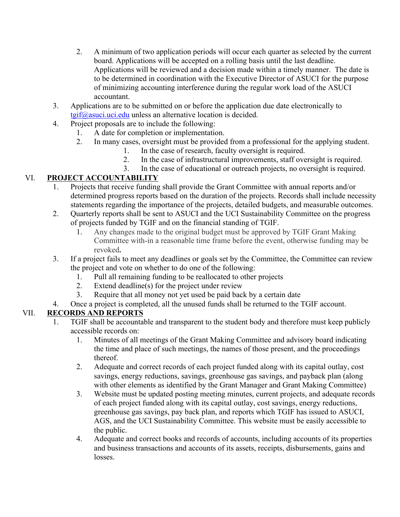- 2. A minimum of two application periods will occur each quarter as selected by the current board. Applications will be accepted on a rolling basis until the last deadline. Applications will be reviewed and a decision made within a timely manner. The date is to be determined in coordination with the Executive Director of ASUCI for the purpose of minimizing accounting interference during the regular work load of the ASUCI accountant.
- 3. Applications are to be submitted on or before the application due date electronically to  $t$ gif $\omega$ asuci.uci.edu unless an alternative location is decided.
- 4. Project proposals are to include the following:
	- 1. A date for completion or implementation.
	- 2. In many cases, oversight must be provided from a professional for the applying student.
		- 1. In the case of research, faculty oversight is required.
		- 2. In the case of infrastructural improvements, staff oversight is required.
		- 3. In the case of educational or outreach projects, no oversight is required.

# VI. **PROJECT ACCOUNTABILITY**

- 1. Projects that receive funding shall provide the Grant Committee with annual reports and/or determined progress reports based on the duration of the projects. Records shall include necessity statements regarding the importance of the projects, detailed budgets, and measurable outcomes.
- 2. Quarterly reports shall be sent to ASUCI and the UCI Sustainability Committee on the progress of projects funded by TGIF and on the financial standing of TGIF.
	- 1. Any changes made to the original budget must be approved by TGIF Grant Making Committee with-in a reasonable time frame before the event, otherwise funding may be revoked**.**
- 3. If a project fails to meet any deadlines or goals set by the Committee, the Committee can review the project and vote on whether to do one of the following:
	- 1. Pull all remaining funding to be reallocated to other projects
	- 2. Extend deadline(s) for the project under review
	- 3. Require that all money not yet used be paid back by a certain date
- 4. Once a project is completed, all the unused funds shall be returned to the TGIF account.

## VII. **RECORDS AND REPORTS**

- 1. TGIF shall be accountable and transparent to the student body and therefore must keep publicly accessible records on:
	- 1. Minutes of all meetings of the Grant Making Committee and advisory board indicating the time and place of such meetings, the names of those present, and the proceedings thereof.
	- 2. Adequate and correct records of each project funded along with its capital outlay, cost savings, energy reductions, savings, greenhouse gas savings, and payback plan (along with other elements as identified by the Grant Manager and Grant Making Committee)
	- 3. Website must be updated posting meeting minutes, current projects, and adequate records of each project funded along with its capital outlay, cost savings, energy reductions, greenhouse gas savings, pay back plan, and reports which TGIF has issued to ASUCI, AGS, and the UCI Sustainability Committee. This website must be easily accessible to the public.
	- 4. Adequate and correct books and records of accounts, including accounts of its properties and business transactions and accounts of its assets, receipts, disbursements, gains and losses.